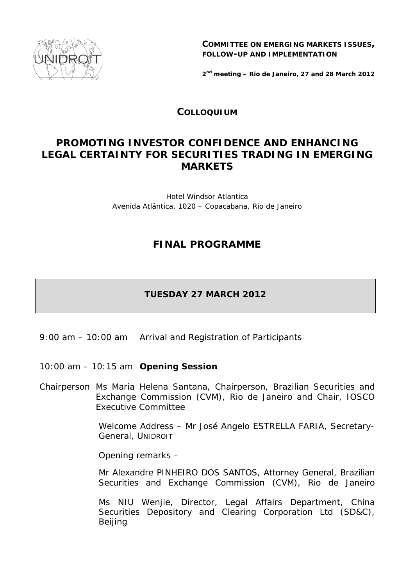

**COMMITTEE ON EMERGING MARKETS ISSUES, FOLLOW-UP AND IMPLEMENTATION**

*2nd meeting – Rio de Janeiro, 27 and 28 March 2012* 

### **COLLOQUIUM**

# **PROMOTING INVESTOR CONFIDENCE AND ENHANCING LEGAL CERTAINTY FOR SECURITIES TRADING IN EMERGING MARKETS**

Hotel Windsor Atlantica Avenida Atlântica, 1020 – Copacabana, Rio de Janeiro

## **FINAL PROGRAMME**

### **TUESDAY 27 MARCH 2012**

- 9:00 am 10:00 am Arrival and Registration of Participants
- 10:00 am 10:15 am **Opening Session**
- *Chairperson* Ms Maria Helena Santana, Chairperson, Brazilian Securities and Exchange Commission (CVM), Rio de Janeiro and Chair, IOSCO Executive Committee

*Welcome Address* – Mr José Angelo ESTRELLA FARIA, Secretary-General, UNIDROIT

*Opening remarks* –

Mr Alexandre PINHEIRO DOS SANTOS, Attorney General, Brazilian Securities and Exchange Commission (CVM), Rio de Janeiro

 Ms NIU Wenjie, Director, Legal Affairs Department, China Securities Depository and Clearing Corporation Ltd (SD&C), Beijing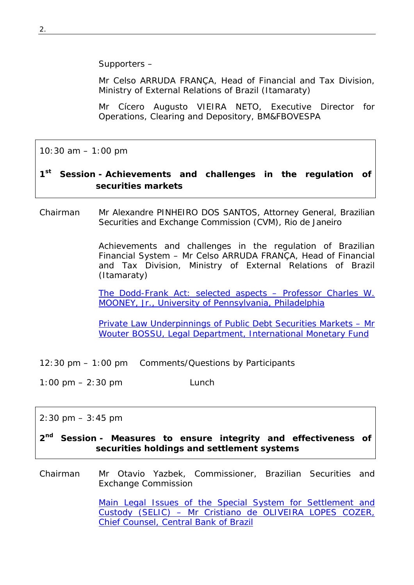*Supporters* –

Mr Celso ARRUDA FRANÇA, Head of Financial and Tax Division*,*  Ministry of External Relations of Brazil (Itamaraty)

Mr Cícero Augusto VIEIRA NETO, Executive Director for Operations, Clearing and Depository, BM&FBOVESPA

10:30 am – 1:00 pm

### **1st Session -** *Achievements and challenges in the regulation of securities markets*

*Chairman* Mr Alexandre PINHEIRO DOS SANTOS, Attorney General, Brazilian Securities and Exchange Commission (CVM), Rio de Janeiro

> Achievements and challenges in the regulation of Brazilian Financial System – *Mr Celso ARRUDA FRANÇA, Head of Financial and Tax Division, Ministry of External Relations of Brazil (Itamaraty)*

> The Dodd-Frank Act: selected aspects – *Professor Charles W. [MOONEY, Jr., University of Pennsylvania, Philadelphia](http://www.unidroit.org/english/documents/2012/study78b/2nd-meeting-interv/mooney.pdf)*

> Private Law Underpinnings of Public Debt Securities Markets – *Mr [Wouter BOSSU, Legal Department, International Monetary Fund](http://www.unidroit.org/english/documents/2012/study78b/2nd-meeting-interv/bossu.pdf)*

- 12:30 pm 1:00 pm Comments/Questions by Participants
- 1:00 pm 2:30 pm Lunch

#### $2:30 \text{ pm} - 3:45 \text{ pm}$

**2nd Session -** *Measures to ensure integrity and effectiveness of securities holdings and settlement systems* 

*Chairman* Mr Otavio Yazbek, Commissioner, Brazilian Securities and Exchange Commission

> [Main Legal Issues of the Special System for Settlement and](http://www.unidroit.org/english/documents/2012/study78b/2nd-meeting-interv/cozer.pdf)  Custody (SELIC) – *Mr Cristiano de OLIVEIRA LOPES COZER, Chief Counsel, Central Bank of Brazil*